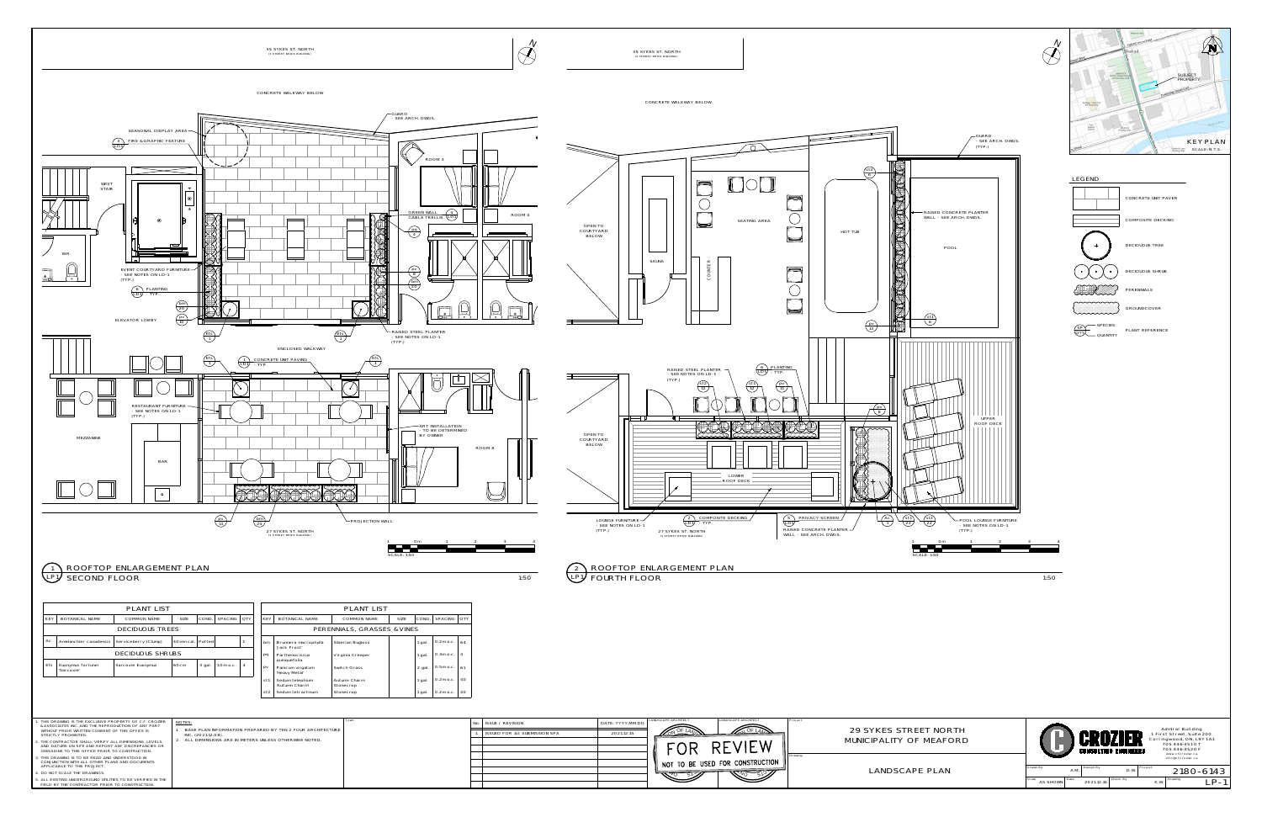



| No. ISSUE / REVISION          | DATE: YYYY.MM.DD | LANDSCAPE ARCHITECT                                          | LANDSCAPE ARCHITECT | Project |                    |
|-------------------------------|------------------|--------------------------------------------------------------|---------------------|---------|--------------------|
| ISSUED FOR 1st SUBMISSION SPA | 2021.12.15       | 44.7                                                         | MOF LAN.            |         | 29 SYKES STREET    |
|                               |                  |                                                              | REVIEW              |         | MUNICIPALITY OF M  |
|                               |                  | $^{\prime\prime}$ not to be used for construction $_{\rm h}$ |                     | Drawing |                    |
|                               |                  |                                                              |                     |         | <b>LANDSCAPE F</b> |